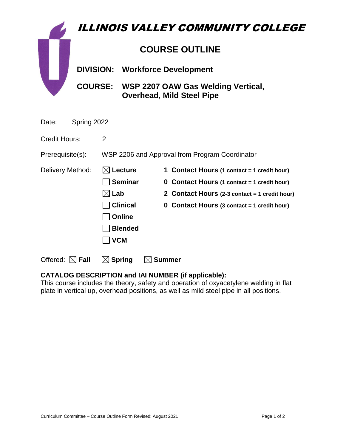|                      |                       |                                                |                                                                                | <b>ILLINOIS VALLEY COMMUNITY COLLEGE</b> |                                                    |  |
|----------------------|-----------------------|------------------------------------------------|--------------------------------------------------------------------------------|------------------------------------------|----------------------------------------------------|--|
|                      | <b>COURSE OUTLINE</b> |                                                |                                                                                |                                          |                                                    |  |
|                      | <b>DIVISION:</b>      |                                                | <b>Workforce Development</b>                                                   |                                          |                                                    |  |
|                      |                       |                                                | COURSE: WSP 2207 OAW Gas Welding Vertical,<br><b>Overhead, Mild Steel Pipe</b> |                                          |                                                    |  |
| Spring 2022<br>Date: |                       |                                                |                                                                                |                                          |                                                    |  |
| Credit Hours:        |                       | $\overline{2}$                                 |                                                                                |                                          |                                                    |  |
| Prerequisite(s):     |                       | WSP 2206 and Approval from Program Coordinator |                                                                                |                                          |                                                    |  |
| Delivery Method:     |                       | <b>Lecture</b>                                 |                                                                                |                                          | 1 Contact Hours (1 contact = 1 credit hour)        |  |
|                      |                       | <b>Seminar</b>                                 |                                                                                |                                          | <b>0 Contact Hours (1 contact = 1 credit hour)</b> |  |
|                      |                       | $\boxtimes$ Lab                                |                                                                                |                                          | 2 Contact Hours (2-3 contact = 1 credit hour)      |  |
|                      |                       |                                                | <b>Clinical</b>                                                                |                                          | <b>0 Contact Hours (3 contact = 1 credit hour)</b> |  |

**CATALOG DESCRIPTION and IAI NUMBER (if applicable):** This course includes the theory, safety and operation of oxyacetylene welding in flat plate in vertical up, overhead positions, as well as mild steel pipe in all positions.

**Online** 

 **VCM**

Offered:  $\boxtimes$  **Fall**  $\Box$  **Spring**  $\Box$  **Summer** 

**Blended**